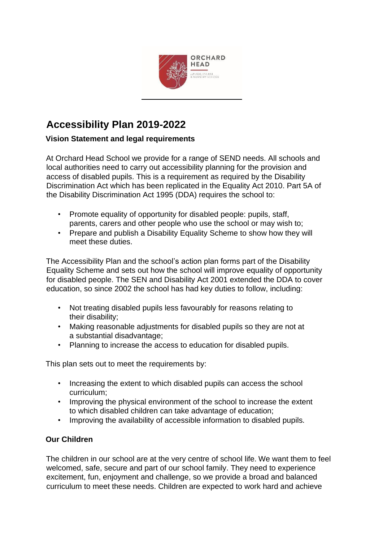

# **Accessibility Plan 2019-2022**

# **Vision Statement and legal requirements**

At Orchard Head School we provide for a range of SEND needs. All schools and local authorities need to carry out accessibility planning for the provision and access of disabled pupils. This is a requirement as required by the Disability Discrimination Act which has been replicated in the Equality Act 2010. Part 5A of the Disability Discrimination Act 1995 (DDA) requires the school to:

- Promote equality of opportunity for disabled people: pupils, staff, parents, carers and other people who use the school or may wish to;
- Prepare and publish a Disability Equality Scheme to show how they will meet these duties.

The Accessibility Plan and the school's action plan forms part of the Disability Equality Scheme and sets out how the school will improve equality of opportunity for disabled people. The SEN and Disability Act 2001 extended the DDA to cover education, so since 2002 the school has had key duties to follow, including:

- Not treating disabled pupils less favourably for reasons relating to their disability;
- Making reasonable adjustments for disabled pupils so they are not at a substantial disadvantage;
- Planning to increase the access to education for disabled pupils.

This plan sets out to meet the requirements by:

- Increasing the extent to which disabled pupils can access the school curriculum;
- Improving the physical environment of the school to increase the extent to which disabled children can take advantage of education;
- Improving the availability of accessible information to disabled pupils.

# **Our Children**

The children in our school are at the very centre of school life. We want them to feel welcomed, safe, secure and part of our school family. They need to experience excitement, fun, enjoyment and challenge, so we provide a broad and balanced curriculum to meet these needs. Children are expected to work hard and achieve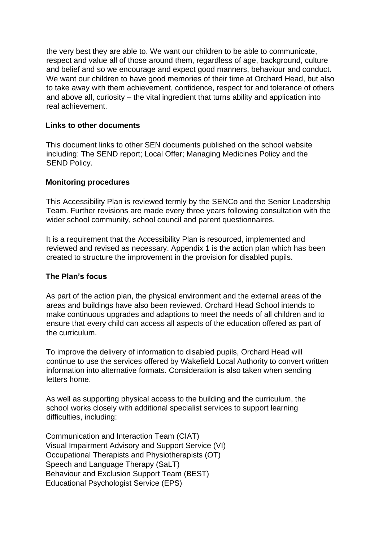the very best they are able to. We want our children to be able to communicate, respect and value all of those around them, regardless of age, background, culture and belief and so we encourage and expect good manners, behaviour and conduct. We want our children to have good memories of their time at Orchard Head, but also to take away with them achievement, confidence, respect for and tolerance of others and above all, curiosity – the vital ingredient that turns ability and application into real achievement.

#### **Links to other documents**

This document links to other SEN documents published on the school website including: The SEND report; Local Offer; Managing Medicines Policy and the SEND Policy.

#### **Monitoring procedures**

This Accessibility Plan is reviewed termly by the SENCo and the Senior Leadership Team. Further revisions are made every three years following consultation with the wider school community, school council and parent questionnaires.

It is a requirement that the Accessibility Plan is resourced, implemented and reviewed and revised as necessary. Appendix 1 is the action plan which has been created to structure the improvement in the provision for disabled pupils.

#### **The Plan's focus**

As part of the action plan, the physical environment and the external areas of the areas and buildings have also been reviewed. Orchard Head School intends to make continuous upgrades and adaptions to meet the needs of all children and to ensure that every child can access all aspects of the education offered as part of the curriculum.

To improve the delivery of information to disabled pupils, Orchard Head will continue to use the services offered by Wakefield Local Authority to convert written information into alternative formats. Consideration is also taken when sending letters home.

As well as supporting physical access to the building and the curriculum, the school works closely with additional specialist services to support learning difficulties, including:

Communication and Interaction Team (CIAT) Visual Impairment Advisory and Support Service (VI) Occupational Therapists and Physiotherapists (OT) Speech and Language Therapy (SaLT) Behaviour and Exclusion Support Team (BEST) Educational Psychologist Service (EPS)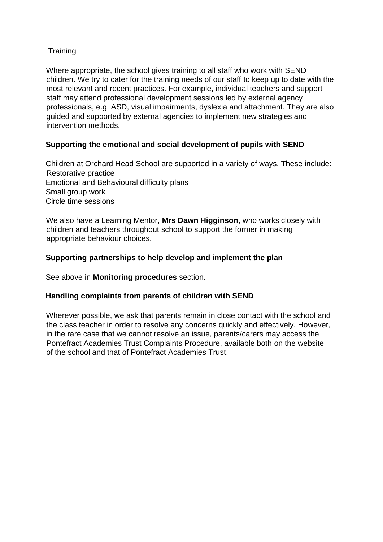## **Training**

Where appropriate, the school gives training to all staff who work with SEND children. We try to cater for the training needs of our staff to keep up to date with the most relevant and recent practices. For example, individual teachers and support staff may attend professional development sessions led by external agency professionals, e.g. ASD, visual impairments, dyslexia and attachment. They are also guided and supported by external agencies to implement new strategies and intervention methods.

# **Supporting the emotional and social development of pupils with SEND**

Children at Orchard Head School are supported in a variety of ways. These include: Restorative practice Emotional and Behavioural difficulty plans Small group work Circle time sessions

We also have a Learning Mentor, **Mrs Dawn Higginson**, who works closely with children and teachers throughout school to support the former in making appropriate behaviour choices.

## **Supporting partnerships to help develop and implement the plan**

See above in **Monitoring procedures** section.

## **Handling complaints from parents of children with SEND**

Wherever possible, we ask that parents remain in close contact with the school and the class teacher in order to resolve any concerns quickly and effectively. However, in the rare case that we cannot resolve an issue, parents/carers may access the Pontefract Academies Trust Complaints Procedure, available both on the website of the school and that of Pontefract Academies Trust.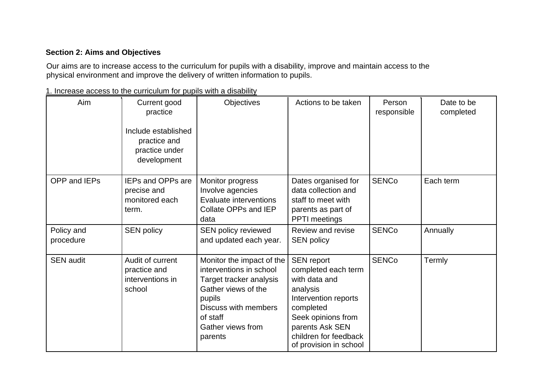## **Section 2: Aims and Objectives**

Our aims are to increase access to the curriculum for pupils with a disability, improve and maintain access to the physical environment and improve the delivery of written information to pupils.

|  |  |  | 1. Increase access to the curriculum for pupils with a disability |  |  |  |  |  |  |  |  |  |
|--|--|--|-------------------------------------------------------------------|--|--|--|--|--|--|--|--|--|
|--|--|--|-------------------------------------------------------------------|--|--|--|--|--|--|--|--|--|

| Aim                     | Current good<br>practice<br>Include established<br>practice and<br>practice under<br>development | <b>Objectives</b>                                                                                                                                                                    | Actions to be taken                                                                                                                                                                                    | Person<br>responsible | Date to be<br>completed |
|-------------------------|--------------------------------------------------------------------------------------------------|--------------------------------------------------------------------------------------------------------------------------------------------------------------------------------------|--------------------------------------------------------------------------------------------------------------------------------------------------------------------------------------------------------|-----------------------|-------------------------|
| OPP and IEPs            | <b>IEPs and OPPs are</b><br>precise and<br>monitored each<br>term.                               | Monitor progress<br>Involve agencies<br>Evaluate interventions<br>Collate OPPs and IEP<br>data                                                                                       | Dates organised for<br>data collection and<br>staff to meet with<br>parents as part of<br>PPTI meetings                                                                                                | <b>SENCo</b>          | Each term               |
| Policy and<br>procedure | <b>SEN policy</b>                                                                                | SEN policy reviewed<br>and updated each year.                                                                                                                                        | Review and revise<br><b>SEN policy</b>                                                                                                                                                                 | <b>SENCo</b>          | Annually                |
| <b>SEN audit</b>        | Audit of current<br>practice and<br>interventions in<br>school                                   | Monitor the impact of the<br>interventions in school<br>Target tracker analysis<br>Gather views of the<br>pupils<br>Discuss with members<br>of staff<br>Gather views from<br>parents | <b>SEN report</b><br>completed each term<br>with data and<br>analysis<br>Intervention reports<br>completed<br>Seek opinions from<br>parents Ask SEN<br>children for feedback<br>of provision in school | <b>SENCo</b>          | Termly                  |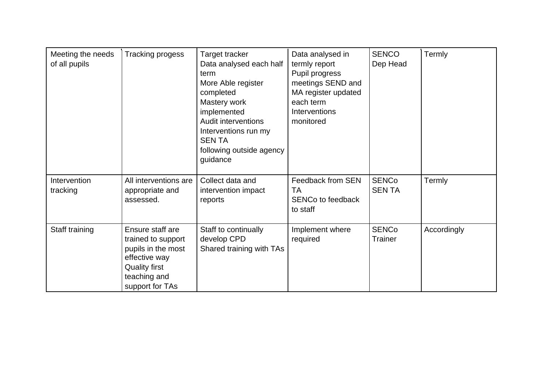| Meeting the needs<br>of all pupils | <b>Tracking progess</b>                                                                                                                  | Target tracker<br>Data analysed each half<br>term<br>More Able register<br>completed<br>Mastery work<br>implemented<br><b>Audit interventions</b><br>Interventions run my<br><b>SENTA</b><br>following outside agency<br>guidance | Data analysed in<br>termly report<br>Pupil progress<br>meetings SEND and<br>MA register updated<br>each term<br>Interventions<br>monitored | <b>SENCO</b><br>Dep Head       | Termly      |
|------------------------------------|------------------------------------------------------------------------------------------------------------------------------------------|-----------------------------------------------------------------------------------------------------------------------------------------------------------------------------------------------------------------------------------|--------------------------------------------------------------------------------------------------------------------------------------------|--------------------------------|-------------|
| Intervention<br>tracking           | All interventions are<br>appropriate and<br>assessed.                                                                                    | Collect data and<br>intervention impact<br>reports                                                                                                                                                                                | Feedback from SEN<br>TA<br><b>SENCo to feedback</b><br>to staff                                                                            | <b>SENCo</b><br><b>SENTA</b>   | Termly      |
| Staff training                     | Ensure staff are<br>trained to support<br>pupils in the most<br>effective way<br><b>Quality first</b><br>teaching and<br>support for TAs | Staff to continually<br>develop CPD<br>Shared training with TAs                                                                                                                                                                   | Implement where<br>required                                                                                                                | <b>SENCo</b><br><b>Trainer</b> | Accordingly |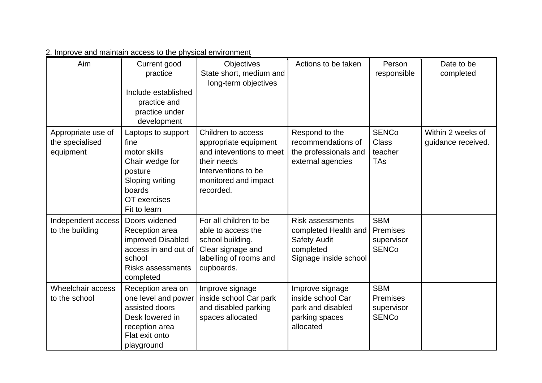2. Improve and maintain access to the physical environment

| Aim                                                | Current good<br>practice<br>Include established<br>practice and<br>practice under<br>development                                      | <b>Objectives</b><br>State short, medium and<br>long-term objectives                                                                               | Actions to be taken                                                                                          | Person<br>responsible                                       | Date to be<br>completed                 |
|----------------------------------------------------|---------------------------------------------------------------------------------------------------------------------------------------|----------------------------------------------------------------------------------------------------------------------------------------------------|--------------------------------------------------------------------------------------------------------------|-------------------------------------------------------------|-----------------------------------------|
| Appropriate use of<br>the specialised<br>equipment | Laptops to support<br>fine<br>motor skills<br>Chair wedge for<br>posture<br>Sloping writing<br>boards<br>OT exercises<br>Fit to learn | Children to access<br>appropriate equipment<br>and inteventions to meet<br>their needs<br>Interventions to be<br>monitored and impact<br>recorded. | Respond to the<br>recommendations of<br>the professionals and<br>external agencies                           | <b>SENCo</b><br><b>Class</b><br>teacher<br><b>TAs</b>       | Within 2 weeks of<br>guidance received. |
| Independent access<br>to the building              | Doors widened<br>Reception area<br>improved Disabled<br>access in and out of<br>school<br><b>Risks assessments</b><br>completed       | For all children to be<br>able to access the<br>school building.<br>Clear signage and<br>labelling of rooms and<br>cupboards.                      | <b>Risk assessments</b><br>completed Health and<br><b>Safety Audit</b><br>completed<br>Signage inside school | <b>SBM</b><br><b>Premises</b><br>supervisor<br><b>SENCo</b> |                                         |
| Wheelchair access<br>to the school                 | Reception area on<br>one level and power<br>assisted doors<br>Desk lowered in<br>reception area<br>Flat exit onto<br>playground       | Improve signage<br>inside school Car park<br>and disabled parking<br>spaces allocated                                                              | Improve signage<br>inside school Car<br>park and disabled<br>parking spaces<br>allocated                     | <b>SBM</b><br><b>Premises</b><br>supervisor<br><b>SENCo</b> |                                         |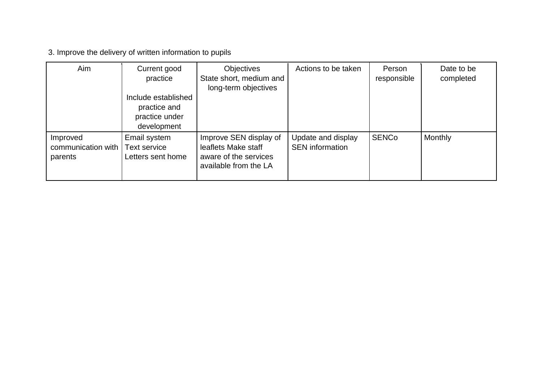3. Improve the delivery of written information to pupils

| Aim                                       | Current good<br>practice                                             | <b>Objectives</b><br>State short, medium and<br>long-term objectives                            | Actions to be taken                          | Person<br>responsible | Date to be<br>completed |
|-------------------------------------------|----------------------------------------------------------------------|-------------------------------------------------------------------------------------------------|----------------------------------------------|-----------------------|-------------------------|
|                                           | Include established<br>practice and<br>practice under<br>development |                                                                                                 |                                              |                       |                         |
| Improved<br>communication with<br>parents | Email system<br>Text service<br>Letters sent home                    | Improve SEN display of<br>leaflets Make staff<br>aware of the services<br>available from the LA | Update and display<br><b>SEN</b> information | <b>SENCo</b>          | <b>Monthly</b>          |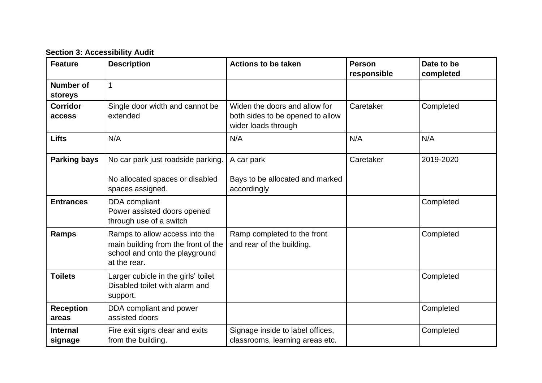**Section 3: Accessibility Audit**

| <b>Feature</b>             | <b>Description</b>                                                                                                      | <b>Actions to be taken</b>                                                               | <b>Person</b><br>responsible | Date to be<br>completed |
|----------------------------|-------------------------------------------------------------------------------------------------------------------------|------------------------------------------------------------------------------------------|------------------------------|-------------------------|
| Number of<br>storeys       | $\mathbf{1}$                                                                                                            |                                                                                          |                              |                         |
| <b>Corridor</b><br>access  | Single door width and cannot be<br>extended                                                                             | Widen the doors and allow for<br>both sides to be opened to allow<br>wider loads through | Caretaker                    | Completed               |
| <b>Lifts</b>               | N/A                                                                                                                     | N/A                                                                                      | N/A                          | N/A                     |
| <b>Parking bays</b>        | No car park just roadside parking.<br>No allocated spaces or disabled<br>spaces assigned.                               | A car park<br>Bays to be allocated and marked<br>accordingly                             | Caretaker                    | 2019-2020               |
| <b>Entrances</b>           | DDA compliant<br>Power assisted doors opened<br>through use of a switch                                                 |                                                                                          |                              | Completed               |
| Ramps                      | Ramps to allow access into the<br>main building from the front of the<br>school and onto the playground<br>at the rear. | Ramp completed to the front<br>and rear of the building.                                 |                              | Completed               |
| <b>Toilets</b>             | Larger cubicle in the girls' toilet<br>Disabled toilet with alarm and<br>support.                                       |                                                                                          |                              | Completed               |
| <b>Reception</b><br>areas  | DDA compliant and power<br>assisted doors                                                                               |                                                                                          |                              | Completed               |
| <b>Internal</b><br>signage | Fire exit signs clear and exits<br>from the building.                                                                   | Signage inside to label offices,<br>classrooms, learning areas etc.                      |                              | Completed               |